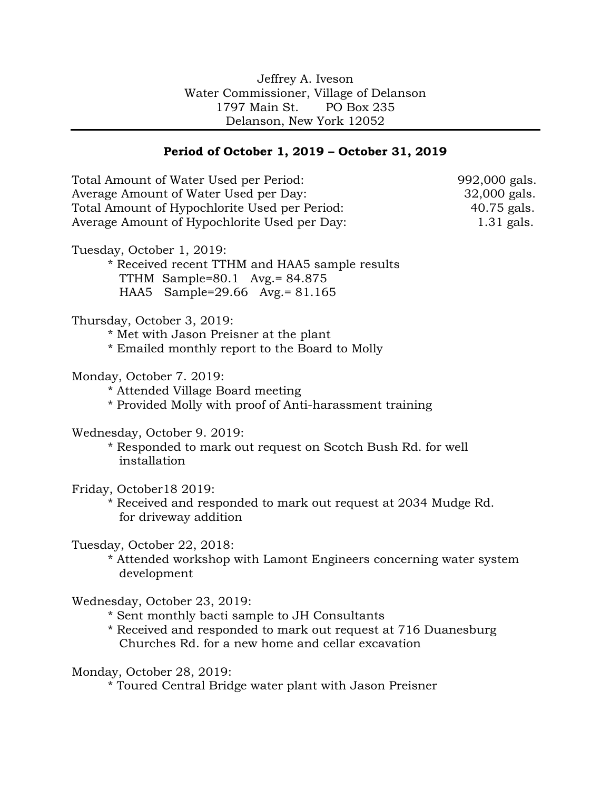## Jeffrey A. Iveson Water Commissioner, Village of Delanson 1797 Main St. PO Box 235 Delanson, New York 12052

## **Period of October 1, 2019 – October 31, 2019**

Total Amount of Water Used per Period: 992,000 gals. Average Amount of Water Used per Day: 32,000 gals. Total Amount of Hypochlorite Used per Period: 40.75 gals. Average Amount of Hypochlorite Used per Day: 1.31 gals. Tuesday, October 1, 2019: \* Received recent TTHM and HAA5 sample results TTHM Sample=80.1 Avg.= 84.875 HAA5 Sample=29.66 Avg.= 81.165 Thursday, October 3, 2019: \* Met with Jason Preisner at the plant \* Emailed monthly report to the Board to Molly Monday, October 7. 2019: \* Attended Village Board meeting \* Provided Molly with proof of Anti-harassment training Wednesday, October 9. 2019: \* Responded to mark out request on Scotch Bush Rd. for well installation Friday, October18 2019: \* Received and responded to mark out request at 2034 Mudge Rd. for driveway addition Tuesday, October 22, 2018: \* Attended workshop with Lamont Engineers concerning water system development Wednesday, October 23, 2019: \* Sent monthly bacti sample to JH Consultants \* Received and responded to mark out request at 716 Duanesburg Churches Rd. for a new home and cellar excavation Monday, October 28, 2019: \* Toured Central Bridge water plant with Jason Preisner